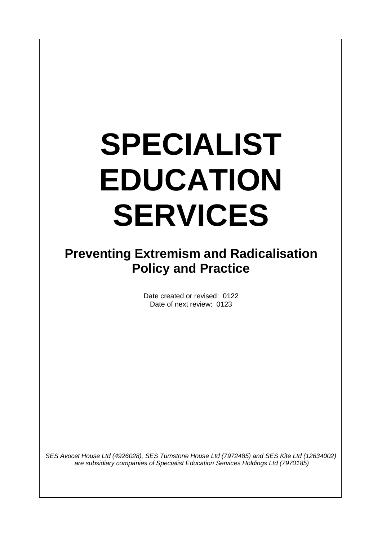# **SPECIALIST EDUCATION SERVICES**

# **Preventing Extremism and Radicalisation Policy and Practice**

Date created or revised: 0122 Date of next review: 0123

*SES Avocet House Ltd (4926028), SES Turnstone House Ltd (7972485) and SES Kite Ltd (12634002) are subsidiary companies of Specialist Education Services Holdings Ltd (7970185)*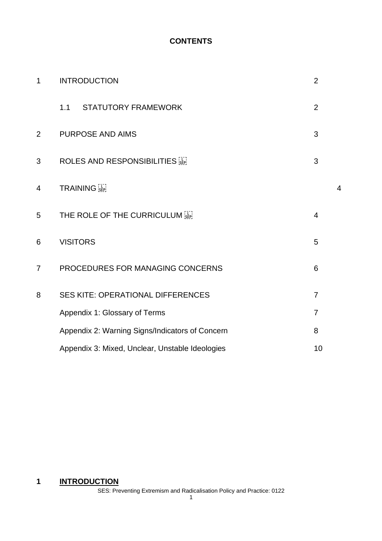#### **CONTENTS**

| $\mathbf 1$    | <b>INTRODUCTION</b>                             | $\overline{2}$ |   |
|----------------|-------------------------------------------------|----------------|---|
|                | 1.1<br><b>STATUTORY FRAMEWORK</b>               | $\overline{2}$ |   |
| $\overline{2}$ | <b>PURPOSE AND AIMS</b>                         | 3              |   |
| 3              | <b>ROLES AND RESPONSIBILITIES</b>               | 3              |   |
| 4              | <b>TRAINING</b>                                 |                | 4 |
| 5              | THE ROLE OF THE CURRICULUM                      | $\overline{4}$ |   |
| 6              | <b>VISITORS</b>                                 | 5              |   |
| $\overline{7}$ | PROCEDURES FOR MANAGING CONCERNS                | 6              |   |
| 8              | <b>SES KITE: OPERATIONAL DIFFERENCES</b>        | $\overline{7}$ |   |
|                | Appendix 1: Glossary of Terms                   | $\overline{7}$ |   |
|                | Appendix 2: Warning Signs/Indicators of Concern | 8              |   |
|                | Appendix 3: Mixed, Unclear, Unstable Ideologies | 10             |   |

# **1 INTRODUCTION**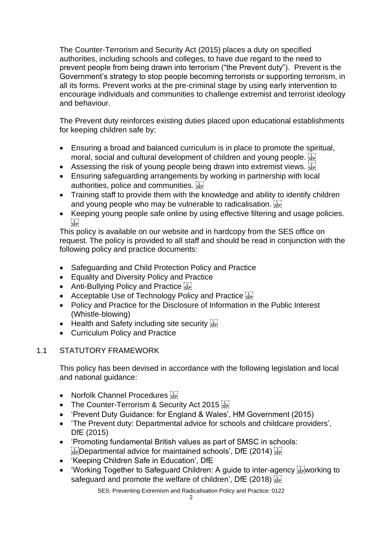The Counter-Terrorism and Security Act (2015) places a duty on specified authorities, including schools and colleges, to have due regard to the need to prevent people from being drawn into terrorism ("the Prevent duty"). Prevent is the Government's strategy to stop people becoming terrorists or supporting terrorism, in all its forms. Prevent works at the pre-criminal stage by using early intervention to encourage individuals and communities to challenge extremist and terrorist ideology and behaviour.

The Prevent duty reinforces existing duties placed upon educational establishments for keeping children safe by:

- Ensuring a broad and balanced curriculum is in place to promote the spiritual, moral, social and cultural development of children and young people.
- Assessing the risk of young people being drawn into extremist views.  $\sum_{i=1}^{n}$
- Ensuring safeguarding arrangements by working in partnership with local authorities, police and communities.
- Training staff to provide them with the knowledge and ability to identify children and young people who may be vulnerable to radicalisation.
- Keeping young people safe online by using effective filtering and usage policies.  $\frac{1}{\sqrt{2}}$

This policy is available on our website and in hardcopy from the SES office on request. The policy is provided to all staff and should be read in conjunction with the following policy and practice documents:

- Safeguarding and Child Protection Policy and Practice
- Equality and Diversity Policy and Practice
- Anti-Bullying Policy and Practice
- Acceptable Use of Technology Policy and Practice **SEPI**
- Policy and Practice for the Disclosure of Information in the Public Interest (Whistle-blowing)
- Health and Safety including site security  $\frac{1}{36}$
- Curriculum Policy and Practice

## 1.1 STATUTORY FRAMEWORK

This policy has been devised in accordance with the following legislation and local and national guidance:

- Norfolk Channel Procedures
- The Counter-Terrorism & Security Act 2015
- 'Prevent Duty Guidance: for England & Wales', HM Government (2015)
- 'The Prevent duty: Departmental advice for schools and childcare providers', DfE (2015)
- 'Promoting fundamental British values as part of SMSC in schools:  $\frac{1}{15}$ Pepartmental advice for maintained schools', DfE (2014)  $\frac{1}{15}$
- 'Keeping Children Safe in Education', DfE
- 'Working Together to Safeguard Children: A guide to inter-agency **Example 18** to safeguard and promote the welfare of children', DfE (2018)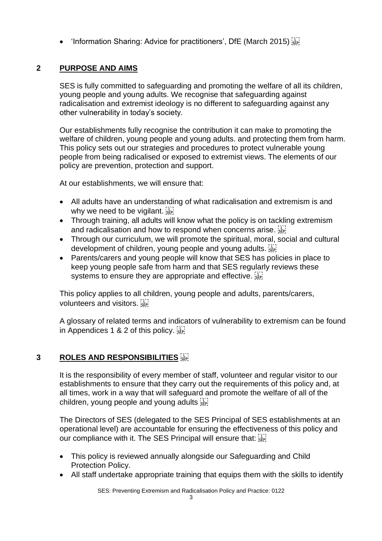• 'Information Sharing: Advice for practitioners', DfE (March 2015)

# **2 PURPOSE AND AIMS**

SES is fully committed to safeguarding and promoting the welfare of all its children, young people and young adults. We recognise that safeguarding against radicalisation and extremist ideology is no different to safeguarding against any other vulnerability in today's society*.* 

Our establishments fully recognise the contribution it can make to promoting the welfare of children, young people and young adults. and protecting them from harm. This policy sets out our strategies and procedures to protect vulnerable young people from being radicalised or exposed to extremist views. The elements of our policy are prevention, protection and support.

At our establishments, we will ensure that:

- All adults have an understanding of what radicalisation and extremism is and why we need to be vigilant.  $\frac{1}{15}$
- Through training, all adults will know what the policy is on tackling extremism and radicalisation and how to respond when concerns arise.
- Through our curriculum, we will promote the spiritual, moral, social and cultural development of children, young people and young adults.
- Parents/carers and young people will know that SES has policies in place to keep young people safe from harm and that SES regularly reviews these systems to ensure they are appropriate and effective.

This policy applies to all children, young people and adults, parents/carers, volunteers and visitors.

A glossary of related terms and indicators of vulnerability to extremism can be found in Appendices 1 & 2 of this policy.

# **3 ROLES AND RESPONSIBILITIES**

It is the responsibility of every member of staff, volunteer and regular visitor to our establishments to ensure that they carry out the requirements of this policy and, at all times, work in a way that will safeguard and promote the welfare of all of the children, young people and young adults

The Directors of SES (delegated to the SES Principal of SES establishments at an operational level) are accountable for ensuring the effectiveness of this policy and our compliance with it. The SES Principal will ensure that:

- This policy is reviewed annually alongside our Safeguarding and Child Protection Policy.
- All staff undertake appropriate training that equips them with the skills to identify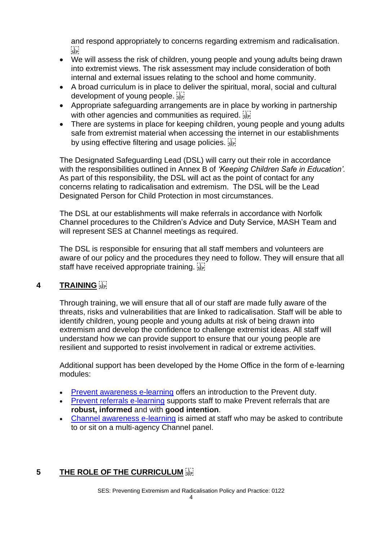and respond appropriately to concerns regarding extremism and radicalisation.  $\sum_{i \in \mathsf{FP}}$ 

- We will assess the risk of children, young people and young adults being drawn into extremist views. The risk assessment may include consideration of both internal and external issues relating to the school and home community.
- A broad curriculum is in place to deliver the spiritual, moral, social and cultural development of young people.
- Appropriate safeguarding arrangements are in place by working in partnership with other agencies and communities as required.
- There are systems in place for keeping children, young people and young adults safe from extremist material when accessing the internet in our establishments by using effective filtering and usage policies.

The Designated Safeguarding Lead (DSL) will carry out their role in accordance with the responsibilities outlined in Annex B of *'Keeping Children Safe in Education'.*  As part of this responsibility*,* the DSL will act as the point of contact for any concerns relating to radicalisation and extremism. The DSL will be the Lead Designated Person for Child Protection in most circumstances.

The DSL at our establishments will make referrals in accordance with Norfolk Channel procedures to the Children's Advice and Duty Service, MASH Team and will represent SES at Channel meetings as required.

The DSL is responsible for ensuring that all staff members and volunteers are aware of our policy and the procedures they need to follow. They will ensure that all staff have received appropriate training.

# **4 TRAINING**

Through training, we will ensure that all of our staff are made fully aware of the threats, risks and vulnerabilities that are linked to radicalisation. Staff will be able to identify children, young people and young adults at risk of being drawn into extremism and develop the confidence to challenge extremist ideas. All staff will understand how we can provide support to ensure that our young people are resilient and supported to resist involvement in radical or extreme activities.

Additional support has been developed by the Home Office in the form of e-learning modules:

- [Prevent awareness e-learning](https://www.elearning.prevent.homeoffice.gov.uk/edu/screen1.html) offers an introduction to the Prevent duty.
- [Prevent referrals e-learning](https://www.elearning.prevent.homeoffice.gov.uk/edu/screen1.html) supports staff to make Prevent referrals that are **robust, informed** and with **good intention**.
- [Channel awareness e-learning](https://www.elearning.prevent.homeoffice.gov.uk/channel_awareness/01-welcome.html) is aimed at staff who may be asked to contribute to or sit on a multi-agency Channel panel.

# **5 THE ROLE OF THE CURRICULUM**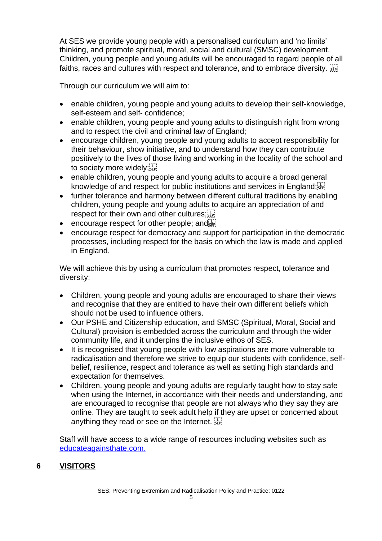At SES we provide young people with a personalised curriculum and 'no limits' thinking, and promote spiritual, moral, social and cultural (SMSC) development. Children, young people and young adults will be encouraged to regard people of all faiths, races and cultures with respect and tolerance, and to embrace diversity.

Through our curriculum we will aim to:

- enable children, young people and young adults to develop their self-knowledge, self-esteem and self- confidence;
- enable children, young people and young adults to distinguish right from wrong and to respect the civil and criminal law of England;
- encourage children, young people and young adults to accept responsibility for their behaviour, show initiative, and to understand how they can contribute positively to the lives of those living and working in the locality of the school and to society more widely;
- enable children, young people and young adults to acquire a broad general knowledge of and respect for public institutions and services in England; EPI
- further tolerance and harmony between different cultural traditions by enabling children, young people and young adults to acquire an appreciation of and respect for their own and other cultures;
- encourage respect for other people; and  $\overline{S_{\text{sp}}^{\text{max}}}$
- encourage respect for democracy and support for participation in the democratic processes, including respect for the basis on which the law is made and applied in England.

We will achieve this by using a curriculum that promotes respect, tolerance and diversity:

- Children, young people and young adults are encouraged to share their views and recognise that they are entitled to have their own different beliefs which should not be used to influence others.
- Our PSHE and Citizenship education, and SMSC (Spiritual, Moral, Social and Cultural) provision is embedded across the curriculum and through the wider community life, and it underpins the inclusive ethos of SES.
- It is recognised that young people with low aspirations are more vulnerable to radicalisation and therefore we strive to equip our students with confidence, selfbelief, resilience, respect and tolerance as well as setting high standards and expectation for themselves.
- Children, young people and young adults are regularly taught how to stay safe when using the Internet, in accordance with their needs and understanding, and are encouraged to recognise that people are not always who they say they are online. They are taught to seek adult help if they are upset or concerned about anything they read or see on the Internet.

Staff will have access to a wide range of resources including websites such as [educateagainsthate.com.](https://educateagainsthate.com/)

## **6 VISITORS**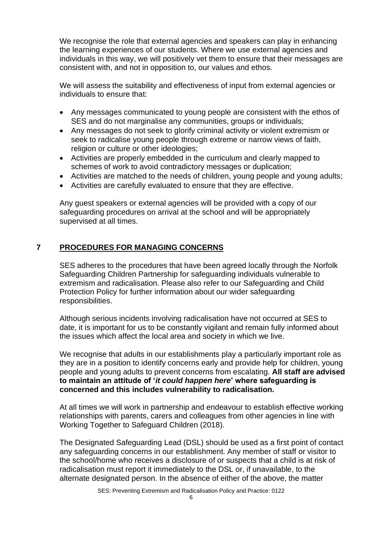We recognise the role that external agencies and speakers can play in enhancing the learning experiences of our students. Where we use external agencies and individuals in this way, we will positively vet them to ensure that their messages are consistent with, and not in opposition to, our values and ethos.

We will assess the suitability and effectiveness of input from external agencies or individuals to ensure that:

- Any messages communicated to young people are consistent with the ethos of SES and do not marginalise any communities, groups or individuals;
- Any messages do not seek to glorify criminal activity or violent extremism or seek to radicalise young people through extreme or narrow views of faith, religion or culture or other ideologies;
- Activities are properly embedded in the curriculum and clearly mapped to schemes of work to avoid contradictory messages or duplication;
- Activities are matched to the needs of children, young people and young adults;
- Activities are carefully evaluated to ensure that they are effective.

Any guest speakers or external agencies will be provided with a copy of our safeguarding procedures on arrival at the school and will be appropriately supervised at all times.

## **7 PROCEDURES FOR MANAGING CONCERNS**

SES adheres to the procedures that have been agreed locally through the Norfolk Safeguarding Children Partnership for safeguarding individuals vulnerable to extremism and radicalisation. Please also refer to our Safeguarding and Child Protection Policy for further information about our wider safeguarding responsibilities.

Although serious incidents involving radicalisation have not occurred at SES to date, it is important for us to be constantly vigilant and remain fully informed about the issues which affect the local area and society in which we live.

We recognise that adults in our establishments play a particularly important role as they are in a position to identify concerns early and provide help for children, young people and young adults to prevent concerns from escalating. **All staff are advised to maintain an attitude of '***it could happen here***' where safeguarding is concerned and this includes vulnerability to radicalisation.** 

At all times we will work in partnership and endeavour to establish effective working relationships with parents, carers and colleagues from other agencies in line with Working Together to Safeguard Children (2018).

The Designated Safeguarding Lead (DSL) should be used as a first point of contact any safeguarding concerns in our establishment. Any member of staff or visitor to the school/home who receives a disclosure of or suspects that a child is at risk of radicalisation must report it immediately to the DSL or, if unavailable, to the alternate designated person. In the absence of either of the above, the matter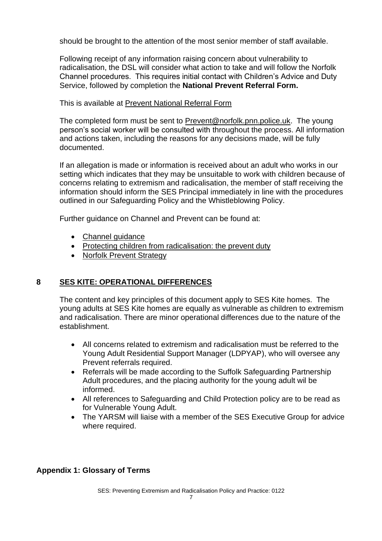should be brought to the attention of the most senior member of staff available.

Following receipt of any information raising concern about vulnerability to radicalisation, the DSL will consider what action to take and will follow the Norfolk Channel procedures. This requires initial contact with Children's Advice and Duty Service, followed by completion the **National Prevent Referral Form.**

This is available at [Prevent National Referral Form](https://www.norfolk.gov.uk/-/media/norfolk/downloads/what-we-do-and-how-we-work/policy-performance-and-partnerships/partnerships/community-safety-partnership/prevent-national-referral-form.docx)

The completed form must be sent to [Prevent@norfolk.pnn.police.uk.](mailto:Prevent@norfolk.pnn.police.uk) The young person's social worker will be consulted with throughout the process. All information and actions taken, including the reasons for any decisions made, will be fully documented.

If an allegation is made or information is received about an adult who works in our setting which indicates that they may be unsuitable to work with children because of concerns relating to extremism and radicalisation, the member of staff receiving the information should inform the SES Principal immediately in line with the procedures outlined in our Safeguarding Policy and the Whistleblowing Policy.

Further guidance on Channel and Prevent can be found at:

- Channel quidance
- [Protecting children from radicalisation: the prevent duty](https://www.gov.uk/government/publications/protecting-children-from-radicalisation-the-prevent-duty)
- [Norfolk Prevent Strategy](https://www.norfolk.gov.uk/preventingradicalisation)

## **8 SES KITE: OPERATIONAL DIFFERENCES**

The content and key principles of this document apply to SES Kite homes. The young adults at SES Kite homes are equally as vulnerable as children to extremism and radicalisation. There are minor operational differences due to the nature of the establishment.

- All concerns related to extremism and radicalisation must be referred to the Young Adult Residential Support Manager (LDPYAP), who will oversee any Prevent referrals required.
- Referrals will be made according to the Suffolk Safeguarding Partnership Adult procedures, and the placing authority for the young adult wil be informed.
- All references to Safeguarding and Child Protection policy are to be read as for Vulnerable Young Adult.
- The YARSM will liaise with a member of the SES Executive Group for advice where required.

## **Appendix 1: Glossary of Terms**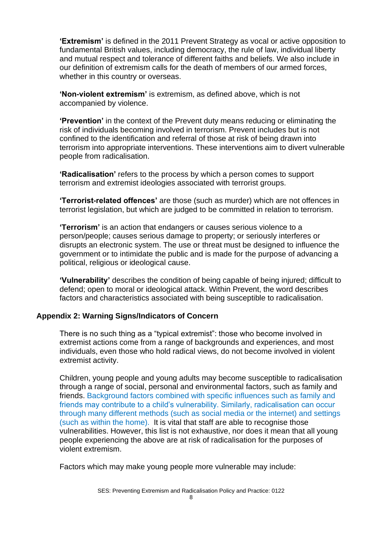**'Extremism'** is defined in the 2011 Prevent Strategy as vocal or active opposition to fundamental British values, including democracy, the rule of law, individual liberty and mutual respect and tolerance of different faiths and beliefs. We also include in our definition of extremism calls for the death of members of our armed forces, whether in this country or overseas.

**'Non-violent extremism'** is extremism, as defined above, which is not accompanied by violence.

**'Prevention'** in the context of the Prevent duty means reducing or eliminating the risk of individuals becoming involved in terrorism. Prevent includes but is not confined to the identification and referral of those at risk of being drawn into terrorism into appropriate interventions. These interventions aim to divert vulnerable people from radicalisation.

**'Radicalisation'** refers to the process by which a person comes to support terrorism and extremist ideologies associated with terrorist groups.

**'Terrorist-related offences'** are those (such as murder) which are not offences in terrorist legislation, but which are judged to be committed in relation to terrorism.

**'Terrorism'** is an action that endangers or causes serious violence to a person/people; causes serious damage to property; or seriously interferes or disrupts an electronic system. The use or threat must be designed to influence the government or to intimidate the public and is made for the purpose of advancing a political, religious or ideological cause.

**'Vulnerability'** describes the condition of being capable of being injured; difficult to defend; open to moral or ideological attack. Within Prevent, the word describes factors and characteristics associated with being susceptible to radicalisation.

#### **Appendix 2: Warning Signs/Indicators of Concern**

There is no such thing as a "typical extremist": those who become involved in extremist actions come from a range of backgrounds and experiences, and most individuals, even those who hold radical views, do not become involved in violent extremist activity.

Children, young people and young adults may become susceptible to radicalisation through a range of social, personal and environmental factors, such as family and friends. Background factors combined with specific influences such as family and friends may contribute to a child's vulnerability. Similarly, radicalisation can occur through many different methods (such as social media or the internet) and settings (such as within the home). It is vital that staff are able to recognise those vulnerabilities. However, this list is not exhaustive, nor does it mean that all young people experiencing the above are at risk of radicalisation for the purposes of violent extremism.

Factors which may make young people more vulnerable may include: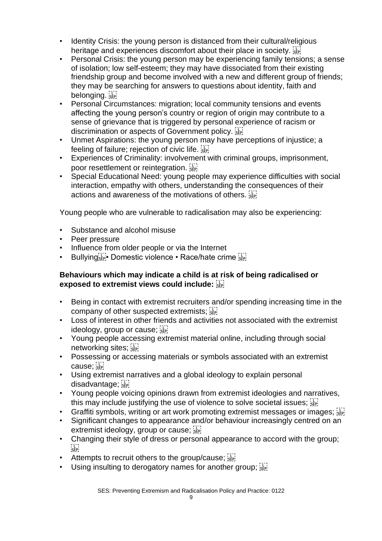- Identity Crisis: the young person is distanced from their cultural/religious heritage and experiences discomfort about their place in society.  $\frac{177}{356}$
- Personal Crisis: the young person may be experiencing family tensions; a sense of isolation; low self-esteem; they may have dissociated from their existing friendship group and become involved with a new and different group of friends; they may be searching for answers to questions about identity, faith and belonging.
- Personal Circumstances: migration; local community tensions and events affecting the young person's country or region of origin may contribute to a sense of grievance that is triggered by personal experience of racism or discrimination or aspects of Government policy.
- Unmet Aspirations: the young person may have perceptions of injustice; a feeling of failure; rejection of civic life.
- Experiences of Criminality: involvement with criminal groups, imprisonment, poor resettlement or reintegration.
- Special Educational Need: young people may experience difficulties with social interaction, empathy with others, understanding the consequences of their actions and awareness of the motivations of others.

Young people who are vulnerable to radicalisation may also be experiencing:

- Substance and alcohol misuse
- Peer pressure
- Influence from older people or via the Internet
- Bullying **Fig.** Domestic violence Race/hate crime

# **Behaviours which may indicate a child is at risk of being radicalised or exposed to extremist views could include:**

- Being in contact with extremist recruiters and/or spending increasing time in the company of other suspected extremists; step
- Loss of interest in other friends and activities not associated with the extremist ideology, group or cause; see
- Young people accessing extremist material online, including through social networking sites; see
- Possessing or accessing materials or symbols associated with an extremist cause;
- Using extremist narratives and a global ideology to explain personal disadvantage:
- Young people voicing opinions drawn from extremist ideologies and narratives, this may include justifying the use of violence to solve societal issues; see
- Graffiti symbols, writing or art work promoting extremist messages or images;  $\frac{1}{15}$
- Significant changes to appearance and/or behaviour increasingly centred on an extremist ideology, group or cause; Fig.
- Changing their style of dress or personal appearance to accord with the group;  $\sum_{i \in \mathbf{P}}$
- Attempts to recruit others to the group/cause;  $\frac{1}{15}$
- Using insulting to derogatory names for another group;  $\sum_{s \in \mathbb{N}}$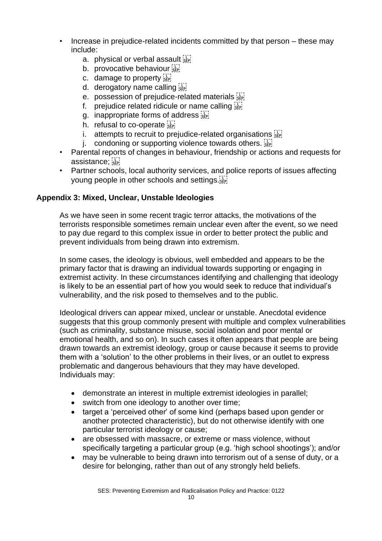- Increase in prejudice-related incidents committed by that person these may include:
	- a. physical or verbal assault
	- b. provocative behaviour
	- c. damage to property  $\frac{1}{35}$
	- d. derogatory name calling
	- e. possession of prejudice-related materials
	- f. prejudice related ridicule or name calling  $\frac{1}{2}$
	- g. inappropriate forms of address
	- h. refusal to co-operate size
	- i. attempts to recruit to prejudice-related organisations  $\sum_{i=1}^{n}$
	- j. condoning or supporting violence towards others.  $\frac{1}{15}$
- Parental reports of changes in behaviour, friendship or actions and requests for assistance; see!
- Partner schools, local authority services, and police reports of issues affecting young people in other schools and settings.

#### **Appendix 3: Mixed, Unclear, Unstable Ideologies**

As we have seen in some recent tragic terror attacks, the motivations of the terrorists responsible sometimes remain unclear even after the event, so we need to pay due regard to this complex issue in order to better protect the public and prevent individuals from being drawn into extremism.

In some cases, the ideology is obvious, well embedded and appears to be the primary factor that is drawing an individual towards supporting or engaging in extremist activity. In these circumstances identifying and challenging that ideology is likely to be an essential part of how you would seek to reduce that individual's vulnerability, and the risk posed to themselves and to the public.

Ideological drivers can appear mixed, unclear or unstable. Anecdotal evidence suggests that this group commonly present with multiple and complex vulnerabilities (such as criminality, substance misuse, social isolation and poor mental or emotional health, and so on). In such cases it often appears that people are being drawn towards an extremist ideology, group or cause because it seems to provide them with a 'solution' to the other problems in their lives, or an outlet to express problematic and dangerous behaviours that they may have developed. Individuals may:

- demonstrate an interest in multiple extremist ideologies in parallel;
- switch from one ideology to another over time;
- target a 'perceived other' of some kind (perhaps based upon gender or another protected characteristic), but do not otherwise identify with one particular terrorist ideology or cause;
- are obsessed with massacre, or extreme or mass violence, without specifically targeting a particular group (e.g. 'high school shootings'); and/or
- may be vulnerable to being drawn into terrorism out of a sense of duty, or a desire for belonging, rather than out of any strongly held beliefs.